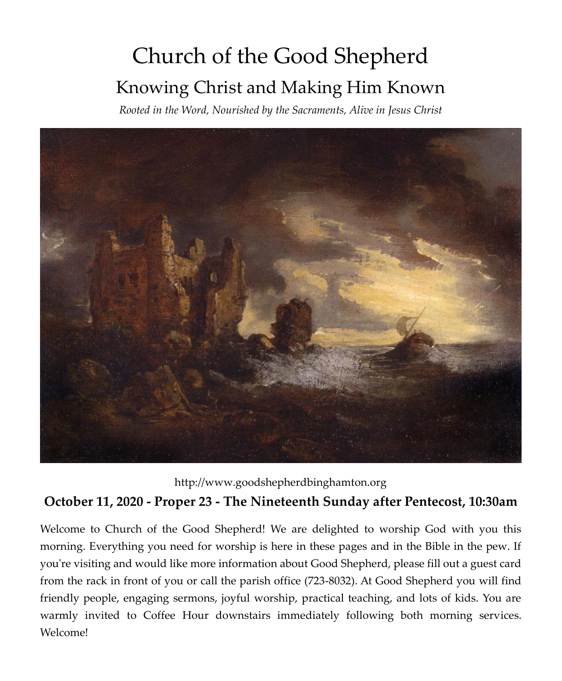# Church of the Good Shepherd Knowing Christ and Making Him Known

*Rooted in the Word, Nourished by the Sacraments, Alive in Jesus Christ*



http://www.goodshepherdbinghamton.org

#### **October 11, 2020 - Proper 23 - The Nineteenth Sunday after Pentecost, 10:30am**

Welcome to Church of the Good Shepherd! We are delighted to worship God with you this morning. Everything you need for worship is here in these pages and in the Bible in the pew. If you're visiting and would like more information about Good Shepherd, please fill out a guest card from the rack in front of you or call the parish office (723-8032). At Good Shepherd you will find friendly people, engaging sermons, joyful worship, practical teaching, and lots of kids. You are warmly invited to Coffee Hour downstairs immediately following both morning services. Welcome!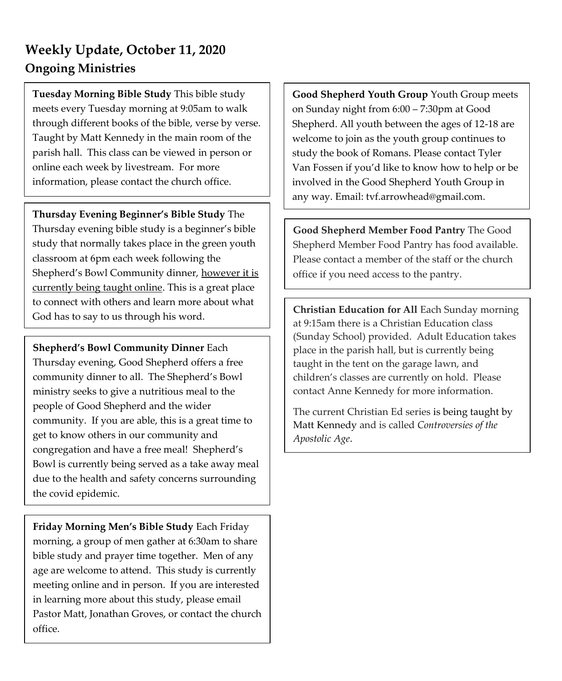# **Weekly Update, October 11, 2020 Ongoing Ministries**

**Tuesday Morning Bible Study** This bible study meets every Tuesday morning at 9:05am to walk through different books of the bible, verse by verse. Taught by Matt Kennedy in the main room of the parish hall. This class can be viewed in person or online each week by livestream. For more information, please contact the church office.

**Thursday Evening Beginner's Bible Study** The Thursday evening bible study is a beginner's bible study that normally takes place in the green youth classroom at 6pm each week following the Shepherd's Bowl Community dinner, however it is currently being taught online. This is a great place to connect with others and learn more about what God has to say to us through his word.

**Shepherd's Bowl Community Dinner** Each Thursday evening, Good Shepherd offers a free community dinner to all. The Shepherd's Bowl ministry seeks to give a nutritious meal to the people of Good Shepherd and the wider community. If you are able, this is a great time to get to know others in our community and congregation and have a free meal! Shepherd's Bowl is currently being served as a take away meal due to the health and safety concerns surrounding the covid epidemic.

**Friday Morning Men's Bible Study** Each Friday morning, a group of men gather at 6:30am to share bible study and prayer time together. Men of any age are welcome to attend. This study is currently meeting online and in person. If you are interested in learning more about this study, please email Pastor Matt, Jonathan Groves, or contact the church office.

**Good Shepherd Youth Group** Youth Group meets on Sunday night from 6:00 – 7:30pm at Good Shepherd. All youth between the ages of 12-18 are welcome to join as the youth group continues to study the book of Romans. Please contact Tyler Van Fossen if you'd like to know how to help or be involved in the Good Shepherd Youth Group in any way. Email: tvf.arrowhead@gmail.com.

**Good Shepherd Member Food Pantry** The Good Shepherd Member Food Pantry has food available. Please contact a member of the staff or the church office if you need access to the pantry.

**Christian Education for All** Each Sunday morning at 9:15am there is a Christian Education class (Sunday School) provided. Adult Education takes place in the parish hall, but is currently being taught in the tent on the garage lawn, and children's classes are currently on hold. Please contact Anne Kennedy for more information.

The current Christian Ed series is being taught by Matt Kennedy and is called *Controversies of the Apostolic Age*.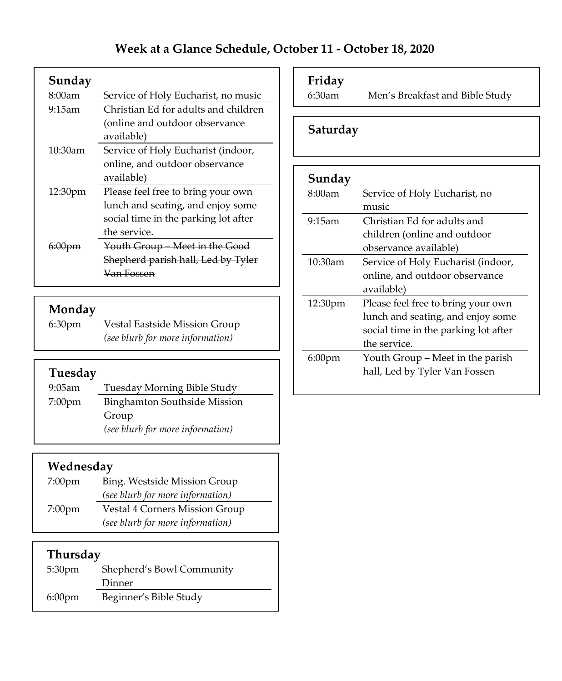#### **Week at a Glance Schedule, October 11 - October 18, 2020**

### **Sunday**

| 8:00am    | Service of Holy Eucharist, no music           |
|-----------|-----------------------------------------------|
| $9:15$ am | Christian Ed for adults and children          |
|           | (online and outdoor observance                |
|           | available)                                    |
| 10:30am   | Service of Holy Eucharist (indoor,            |
|           | online, and outdoor observance                |
|           | available)                                    |
| 12:30pm   | Please feel free to bring your own            |
|           | lunch and seating, and enjoy some             |
|           | social time in the parking lot after          |
|           | the service.                                  |
|           | Youth Group – Meet in the Good                |
|           | <del>Shepherd parish hall, Led by Tyler</del> |
|           | <del>Van Fossen</del>                         |

#### **Monday**

6:30pm Vestal Eastside Mission Group *(see blurb for more information)*

#### **Tuesday**

9:05am Tuesday Morning Bible Study 7:00pm Binghamton Southside Mission Group *(see blurb for more information)*

#### **Wednesday**

| $7:00 \text{pm}$   | Bing. Westside Mission Group          |
|--------------------|---------------------------------------|
|                    | (see blurb for more information)      |
| 7:00 <sub>pm</sub> | <b>Vestal 4 Corners Mission Group</b> |
|                    | (see blurb for more information)      |

#### **Thursday**

| 5:30 <sub>pm</sub> | Shepherd's Bowl Community |
|--------------------|---------------------------|
|                    | Dinner                    |
| $6:00 \text{pm}$   | Beginner's Bible Study    |

#### **Friday**

6:30am Men's Breakfast and Bible Study

### **Saturday**

#### **Sunday**

| 8:00am             | Service of Holy Eucharist, no        |
|--------------------|--------------------------------------|
|                    | music                                |
| 9:15am             | Christian Ed for adults and          |
|                    | children (online and outdoor         |
|                    | observance available)                |
| 10:30am            | Service of Holy Eucharist (indoor,   |
|                    | online, and outdoor observance       |
|                    | available)                           |
| 12:30pm            | Please feel free to bring your own   |
|                    | lunch and seating, and enjoy some    |
|                    | social time in the parking lot after |
|                    | the service.                         |
| 6:00 <sub>pm</sub> | Youth Group – Meet in the parish     |
|                    | hall, Led by Tyler Van Fossen        |
|                    |                                      |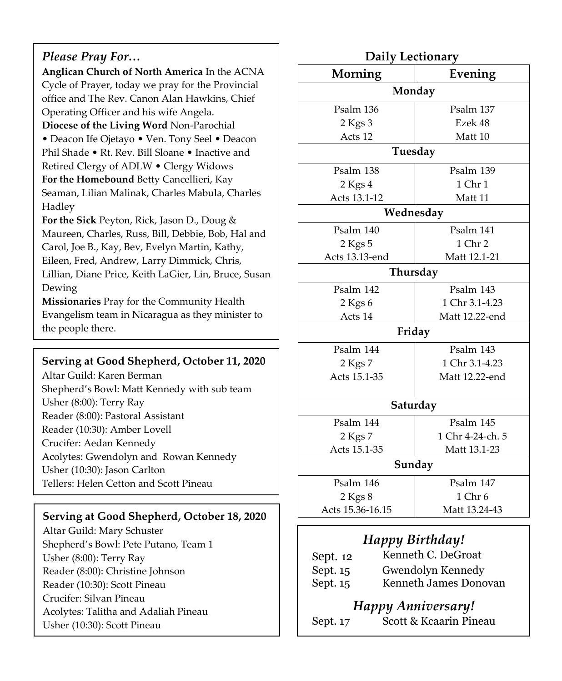#### *Please Pray For…*

**Anglican Church of North America** In the ACNA Cycle of Prayer, today we pray for the Provincial office and The Rev. Canon Alan Hawkins, Chief Operating Officer and his wife Angela. **Diocese of the Living Word** Non-Parochial • Deacon Ife Ojetayo • Ven. Tony Seel • Deacon Phil Shade • Rt. Rev. Bill Sloane • Inactive and Retired Clergy of ADLW • Clergy Widows **For the Homebound** Betty Cancellieri, Kay Seaman, Lilian Malinak, Charles Mabula, Charles Hadley **For the Sick** Peyton, Rick, Jason D., Doug & Maureen, Charles, Russ, Bill, Debbie, Bob, Hal and Carol, Joe B., Kay, Bev, Evelyn Martin, Kathy, Eileen, Fred, Andrew, Larry Dimmick, Chris, Lillian, Diane Price, Keith LaGier, Lin, Bruce, Susan Dewing **Missionaries** Pray for the Community Health Evangelism team in Nicaragua as they minister to the people there.

#### **Serving at Good Shepherd, October 11, 2020**

Altar Guild: Karen Berman Shepherd's Bowl: Matt Kennedy with sub team Usher (8:00): Terry Ray Reader (8:00): Pastoral Assistant Reader (10:30): Amber Lovell Crucifer: Aedan Kennedy Acolytes: Gwendolyn and Rowan Kennedy Usher (10:30): Jason Carlton Tellers: Helen Cetton and Scott Pineau

#### **Serving at Good Shepherd, October 18, 2020**

Altar Guild: Mary Schuster Shepherd's Bowl: Pete Putano, Team 1 Usher (8:00): Terry Ray Reader (8:00): Christine Johnson Reader (10:30): Scott Pineau Crucifer: Silvan Pineau Acolytes: Talitha and Adaliah Pineau Usher (10:30): Scott Pineau

| Morning<br>Evening<br>Monday<br>Psalm 136<br>Psalm 137<br>Ezek 48<br>2 Kgs 3<br>Acts 12<br>Matt 10<br>Tuesday<br>Psalm 138<br>Psalm 139<br>$1$ Chr $1$<br>2 Kgs 4<br>Acts 13.1-12<br>Matt 11<br>Wednesday<br>Psalm 141<br>Psalm 140<br>1 Chr 2<br>2 Kgs 5<br>Acts 13.13-end<br>Matt 12.1-21<br>Thursday<br>Psalm 143<br>Psalm 142<br>1 Chr 3.1-4.23<br>2 Kgs 6<br>Acts 14<br>Matt 12.22-end<br>Friday<br>Psalm 144<br>Psalm 143<br>1 Chr 3.1-4.23<br>2 Kgs 7<br>Acts 15.1-35<br>Matt 12.22-end<br>Saturday<br>Psalm 145<br>Psalm 144<br>1 Chr 4-24-ch. 5<br>2 Kgs 7<br>Acts 15.1-35<br>Matt 13.1-23<br>Sunday<br>Psalm 146<br>Psalm 147<br>1 Chr 6<br>2 Kgs 8<br>Matt 13.24-43 | Daily Lectionary |  |  |
|--------------------------------------------------------------------------------------------------------------------------------------------------------------------------------------------------------------------------------------------------------------------------------------------------------------------------------------------------------------------------------------------------------------------------------------------------------------------------------------------------------------------------------------------------------------------------------------------------------------------------------------------------------------------------------|------------------|--|--|
|                                                                                                                                                                                                                                                                                                                                                                                                                                                                                                                                                                                                                                                                                |                  |  |  |
|                                                                                                                                                                                                                                                                                                                                                                                                                                                                                                                                                                                                                                                                                |                  |  |  |
|                                                                                                                                                                                                                                                                                                                                                                                                                                                                                                                                                                                                                                                                                |                  |  |  |
|                                                                                                                                                                                                                                                                                                                                                                                                                                                                                                                                                                                                                                                                                |                  |  |  |
|                                                                                                                                                                                                                                                                                                                                                                                                                                                                                                                                                                                                                                                                                |                  |  |  |
|                                                                                                                                                                                                                                                                                                                                                                                                                                                                                                                                                                                                                                                                                |                  |  |  |
|                                                                                                                                                                                                                                                                                                                                                                                                                                                                                                                                                                                                                                                                                |                  |  |  |
|                                                                                                                                                                                                                                                                                                                                                                                                                                                                                                                                                                                                                                                                                |                  |  |  |
|                                                                                                                                                                                                                                                                                                                                                                                                                                                                                                                                                                                                                                                                                |                  |  |  |
|                                                                                                                                                                                                                                                                                                                                                                                                                                                                                                                                                                                                                                                                                |                  |  |  |
|                                                                                                                                                                                                                                                                                                                                                                                                                                                                                                                                                                                                                                                                                |                  |  |  |
|                                                                                                                                                                                                                                                                                                                                                                                                                                                                                                                                                                                                                                                                                |                  |  |  |
|                                                                                                                                                                                                                                                                                                                                                                                                                                                                                                                                                                                                                                                                                |                  |  |  |
|                                                                                                                                                                                                                                                                                                                                                                                                                                                                                                                                                                                                                                                                                |                  |  |  |
|                                                                                                                                                                                                                                                                                                                                                                                                                                                                                                                                                                                                                                                                                |                  |  |  |
|                                                                                                                                                                                                                                                                                                                                                                                                                                                                                                                                                                                                                                                                                |                  |  |  |
|                                                                                                                                                                                                                                                                                                                                                                                                                                                                                                                                                                                                                                                                                |                  |  |  |
|                                                                                                                                                                                                                                                                                                                                                                                                                                                                                                                                                                                                                                                                                |                  |  |  |
|                                                                                                                                                                                                                                                                                                                                                                                                                                                                                                                                                                                                                                                                                |                  |  |  |
|                                                                                                                                                                                                                                                                                                                                                                                                                                                                                                                                                                                                                                                                                |                  |  |  |
|                                                                                                                                                                                                                                                                                                                                                                                                                                                                                                                                                                                                                                                                                |                  |  |  |
|                                                                                                                                                                                                                                                                                                                                                                                                                                                                                                                                                                                                                                                                                |                  |  |  |
|                                                                                                                                                                                                                                                                                                                                                                                                                                                                                                                                                                                                                                                                                |                  |  |  |
|                                                                                                                                                                                                                                                                                                                                                                                                                                                                                                                                                                                                                                                                                |                  |  |  |
|                                                                                                                                                                                                                                                                                                                                                                                                                                                                                                                                                                                                                                                                                |                  |  |  |
|                                                                                                                                                                                                                                                                                                                                                                                                                                                                                                                                                                                                                                                                                |                  |  |  |
|                                                                                                                                                                                                                                                                                                                                                                                                                                                                                                                                                                                                                                                                                |                  |  |  |
|                                                                                                                                                                                                                                                                                                                                                                                                                                                                                                                                                                                                                                                                                |                  |  |  |
|                                                                                                                                                                                                                                                                                                                                                                                                                                                                                                                                                                                                                                                                                | Acts 15.36-16.15 |  |  |

#### *Happy Birthday!*

| Sept. 12 | Kenneth C. DeGroat    |
|----------|-----------------------|
| Sept. 15 | Gwendolyn Kennedy     |
| Sept. 15 | Kenneth James Donovan |

#### *Happy Anniversary!*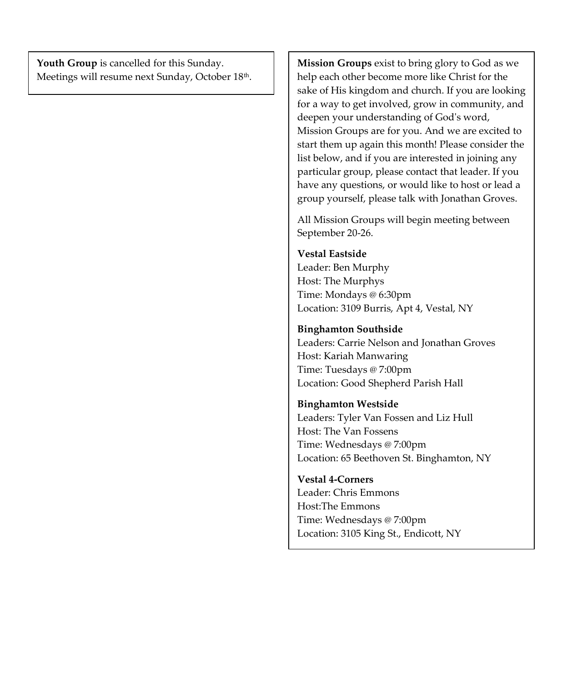**Youth Group** is cancelled for this Sunday. Meetings will resume next Sunday, October 18th. **Mission Groups** exist to bring glory to God as we help each other become more like Christ for the sake of His kingdom and church. If you are looking for a way to get involved, grow in community, and deepen your understanding of God's word, Mission Groups are for you. And we are excited to start them up again this month! Please consider the list below, and if you are interested in joining any particular group, please contact that leader. If you have any questions, or would like to host or lead a group yourself, please talk with Jonathan Groves.

All Mission Groups will begin meeting between September 20-26.

#### **Vestal Eastside**

Leader: Ben Murphy Host: The Murphys Time: Mondays @ 6:30pm Location: 3109 Burris, Apt 4, Vestal, NY

#### **Binghamton Southside**

Leaders: Carrie Nelson and Jonathan Groves Host: Kariah Manwaring Time: Tuesdays @ 7:00pm Location: Good Shepherd Parish Hall

#### **Binghamton Westside**

Leaders: Tyler Van Fossen and Liz Hull Host: The Van Fossens Time: Wednesdays @ 7:00pm Location: 65 Beethoven St. Binghamton, NY

#### **Vestal 4-Corners**

Leader: Chris Emmons Host:The Emmons Time: Wednesdays @ 7:00pm Location: 3105 King St., Endicott, NY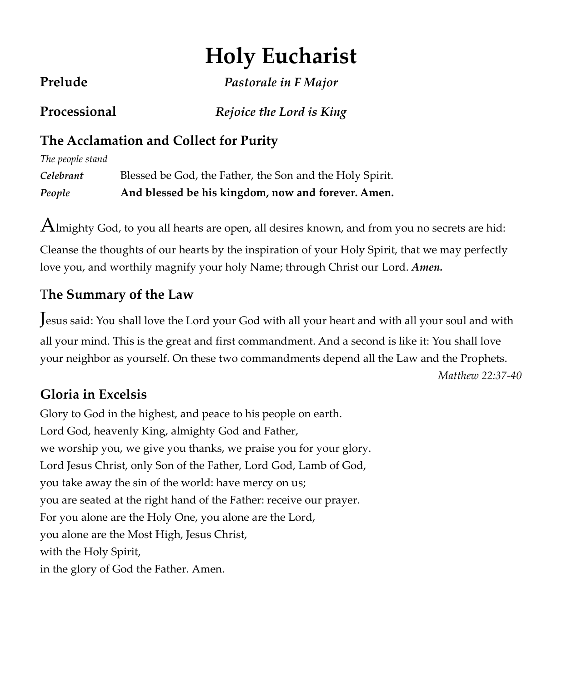# **Holy Eucharist**

**Prelude** *Pastorale in F Major*

**Processional** *Rejoice the Lord is King*

# **The Acclamation and Collect for Purity**

*The people stand* *Celebrant* Blessed be God, the Father, the Son and the Holy Spirit. *People* **And blessed be his kingdom, now and forever. Amen.**

 $A$ lmighty God, to you all hearts are open, all desires known, and from you no secrets are hid:

Cleanse the thoughts of our hearts by the inspiration of your Holy Spirit, that we may perfectly love you, and worthily magnify your holy Name; through Christ our Lord. *Amen.*

# T**he Summary of the Law**

Jesus said: You shall love the Lord your God with all your heart and with all your soul and with all your mind. This is the great and first commandment. And a second is like it: You shall love your neighbor as yourself. On these two commandments depend all the Law and the Prophets.

*Matthew 22:37-40*

# **Gloria in Excelsis**

Glory to God in the highest, and peace to his people on earth. Lord God, heavenly King, almighty God and Father, we worship you, we give you thanks, we praise you for your glory. Lord Jesus Christ, only Son of the Father, Lord God, Lamb of God, you take away the sin of the world: have mercy on us; you are seated at the right hand of the Father: receive our prayer. For you alone are the Holy One, you alone are the Lord, you alone are the Most High, Jesus Christ, with the Holy Spirit, in the glory of God the Father. Amen.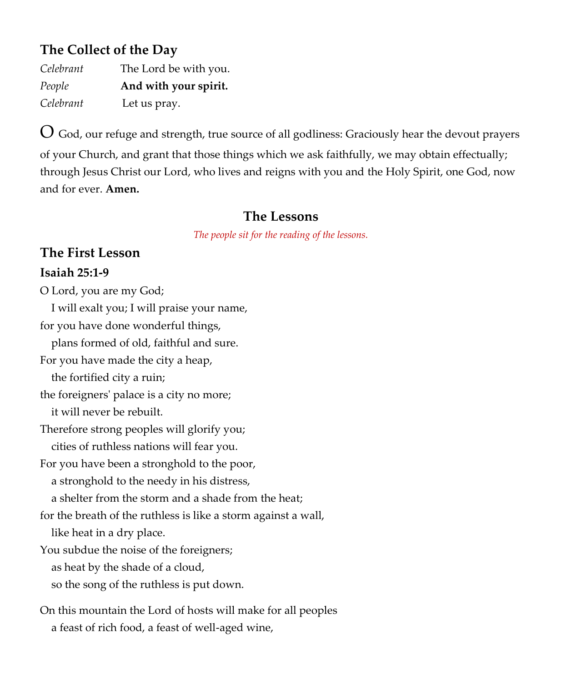# **The Collect of the Day**

| Celebrant | The Lord be with you. |
|-----------|-----------------------|
| People    | And with your spirit. |
| Celebrant | Let us pray.          |

O God, our refuge and strength, true source of all godliness: Graciously hear the devout prayers of your Church, and grant that those things which we ask faithfully, we may obtain effectually; through Jesus Christ our Lord, who lives and reigns with you and the Holy Spirit, one God, now and for ever. **Amen.**

#### **The Lessons**

*The people sit for the reading of the lessons.*

# **The First Lesson**

#### **Isaiah 25:1-9**

O Lord, you are my God; I will exalt you; I will praise your name, for you have done wonderful things, plans formed of old, faithful and sure. For you have made the city a heap, the fortified city a ruin; the foreigners' palace is a city no more; it will never be rebuilt. Therefore strong peoples will glorify you; cities of ruthless nations will fear you. For you have been a stronghold to the poor, a stronghold to the needy in his distress, a shelter from the storm and a shade from the heat; for the breath of the ruthless is like a storm against a wall, like heat in a dry place. You subdue the noise of the foreigners; as heat by the shade of a cloud, so the song of the ruthless is put down. On this mountain the Lord of hosts will make for all peoples a feast of rich food, a feast of well-aged wine,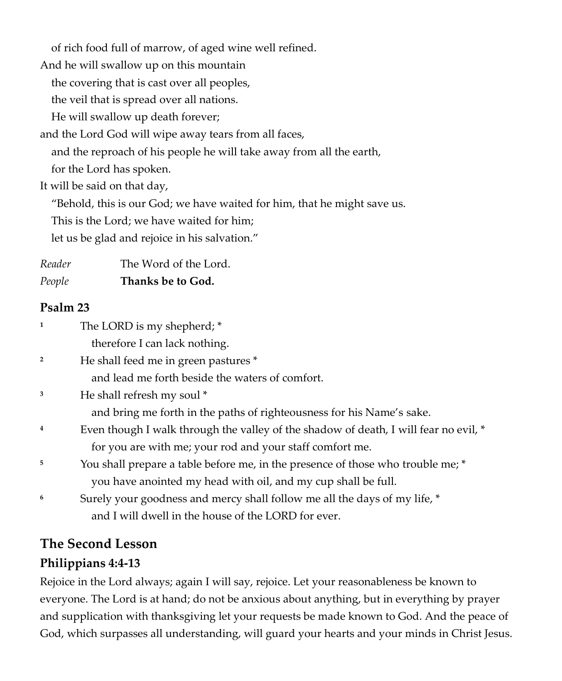of rich food full of marrow, of aged wine well refined.

And he will swallow up on this mountain

the covering that is cast over all peoples,

the veil that is spread over all nations.

He will swallow up death forever;

and the Lord God will wipe away tears from all faces,

and the reproach of his people he will take away from all the earth,

for the Lord has spoken.

It will be said on that day,

"Behold, this is our God; we have waited for him, that he might save us.

This is the Lord; we have waited for him;

let us be glad and rejoice in his salvation."

# *Reader* The Word of the Lord. *People* **Thanks be to God.**

#### **Psalm 23**

| The LORD is my shepherd; *           |
|--------------------------------------|
| therefore I can lack nothing.        |
| He shall feed me in green pastures * |

- **<sup>2</sup>**He shall feed me in green pastures \* and lead me forth beside the waters of comfort.
- <sup>3</sup> He shall refresh my soul \* and bring me forth in the paths of righteousness for his Name's sake.
- **<sup>4</sup>**Even though I walk through the valley of the shadow of death, I will fear no evil, \* for you are with me; your rod and your staff comfort me.
- <sup>5</sup> You shall prepare a table before me, in the presence of those who trouble me; <sup>\*</sup> you have anointed my head with oil, and my cup shall be full.
- <sup>6</sup> Surely your goodness and mercy shall follow me all the days of my life,  $*$ and I will dwell in the house of the LORD for ever.

# **The Second Lesson**

## **Philippians 4:4-13**

Rejoice in the Lord always; again I will say, rejoice. Let your reasonableness be known to everyone. The Lord is at hand; do not be anxious about anything, but in everything by prayer and supplication with thanksgiving let your requests be made known to God. And the peace of God, which surpasses all understanding, will guard your hearts and your minds in Christ Jesus.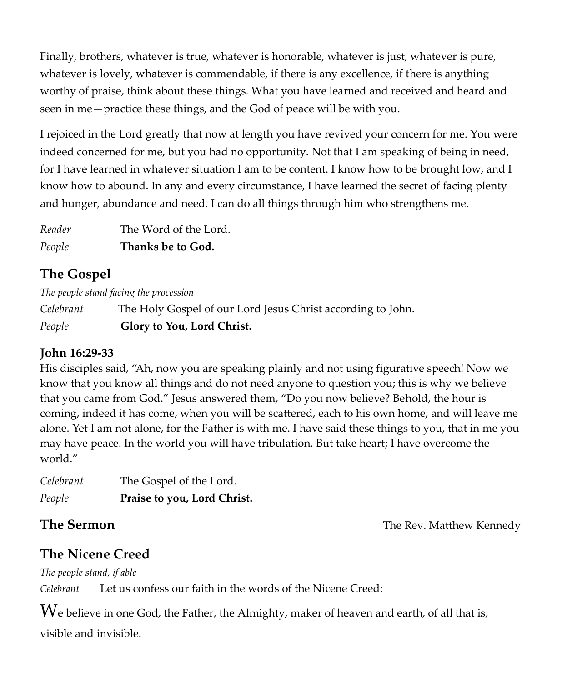Finally, brothers, whatever is true, whatever is honorable, whatever is just, whatever is pure, whatever is lovely, whatever is commendable, if there is any excellence, if there is anything worthy of praise, think about these things. What you have learned and received and heard and seen in me—practice these things, and the God of peace will be with you.

I rejoiced in the Lord greatly that now at length you have revived your concern for me. You were indeed concerned for me, but you had no opportunity. Not that I am speaking of being in need, for I have learned in whatever situation I am to be content. I know how to be brought low, and I know how to abound. In any and every circumstance, I have learned the secret of facing plenty and hunger, abundance and need. I can do all things through him who strengthens me.

| Reader | The Word of the Lord. |
|--------|-----------------------|
| People | Thanks be to God.     |

# **The Gospel**

*The people stand facing the procession Celebrant* The Holy Gospel of our Lord Jesus Christ according to John. *People* **Glory to You, Lord Christ.**

#### **John 16:29-33**

His disciples said, "Ah, now you are speaking plainly and not using figurative speech! Now we know that you know all things and do not need anyone to question you; this is why we believe that you came from God." Jesus answered them, "Do you now believe? Behold, the hour is coming, indeed it has come, when you will be scattered, each to his own home, and will leave me alone. Yet I am not alone, for the Father is with me. I have said these things to you, that in me you may have peace. In the world you will have tribulation. But take heart; I have overcome the world."

*Celebrant* The Gospel of the Lord. *People* **Praise to you, Lord Christ.**

**The Sermon The Rev. Matthew Kennedy** 

# **The Nicene Creed**

*The people stand, if able*

*Celebrant* Let us confess our faith in the words of the Nicene Creed:

 $W$ e believe in one God, the Father, the Almighty, maker of heaven and earth, of all that is, visible and invisible.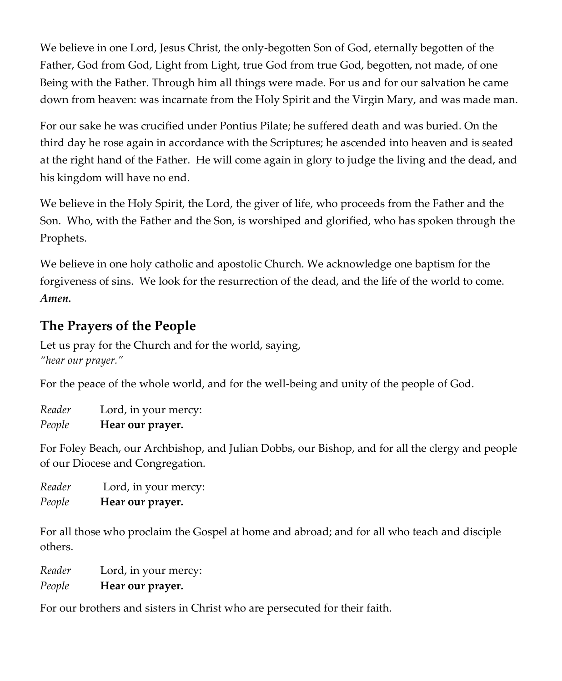We believe in one Lord, Jesus Christ, the only-begotten Son of God, eternally begotten of the Father, God from God, Light from Light, true God from true God, begotten, not made, of one Being with the Father. Through him all things were made. For us and for our salvation he came down from heaven: was incarnate from the Holy Spirit and the Virgin Mary, and was made man.

For our sake he was crucified under Pontius Pilate; he suffered death and was buried. On the third day he rose again in accordance with the Scriptures; he ascended into heaven and is seated at the right hand of the Father. He will come again in glory to judge the living and the dead, and his kingdom will have no end.

We believe in the Holy Spirit, the Lord, the giver of life, who proceeds from the Father and the Son. Who, with the Father and the Son, is worshiped and glorified, who has spoken through the Prophets.

We believe in one holy catholic and apostolic Church. We acknowledge one baptism for the forgiveness of sins. We look for the resurrection of the dead, and the life of the world to come. *Amen.*

# **The Prayers of the People**

Let us pray for the Church and for the world, saying, *"hear our prayer."* 

For the peace of the whole world, and for the well-being and unity of the people of God.

*Reader* Lord, in your mercy: *People* **Hear our prayer.** 

For Foley Beach, our Archbishop, and Julian Dobbs, our Bishop, and for all the clergy and people of our Diocese and Congregation.

*Reader* Lord, in your mercy: *People* **Hear our prayer.** 

For all those who proclaim the Gospel at home and abroad; and for all who teach and disciple others.

*Reader* Lord, in your mercy: *People* **Hear our prayer.** 

For our brothers and sisters in Christ who are persecuted for their faith.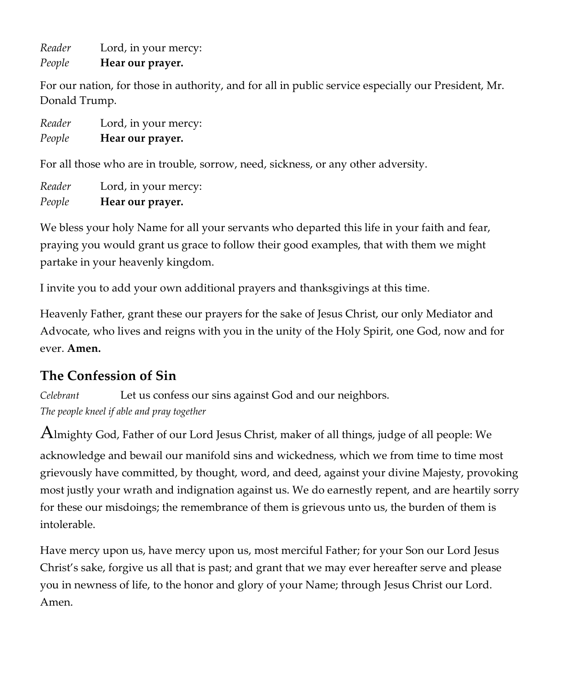*Reader* Lord, in your mercy: *People* **Hear our prayer.** 

For our nation, for those in authority, and for all in public service especially our President, Mr. Donald Trump.

*Reader* Lord, in your mercy: *People* **Hear our prayer.**

For all those who are in trouble, sorrow, need, sickness, or any other adversity.

*Reader* Lord, in your mercy: *People* **Hear our prayer.**

We bless your holy Name for all your servants who departed this life in your faith and fear, praying you would grant us grace to follow their good examples, that with them we might partake in your heavenly kingdom.

I invite you to add your own additional prayers and thanksgivings at this time*.*

Heavenly Father, grant these our prayers for the sake of Jesus Christ, our only Mediator and Advocate, who lives and reigns with you in the unity of the Holy Spirit, one God, now and for ever. **Amen.**

# **The Confession of Sin**

*Celebrant* Let us confess our sins against God and our neighbors. *The people kneel if able and pray together*

Almighty God, Father of our Lord Jesus Christ, maker of all things, judge of all people: We acknowledge and bewail our manifold sins and wickedness, which we from time to time most grievously have committed, by thought, word, and deed, against your divine Majesty, provoking most justly your wrath and indignation against us. We do earnestly repent, and are heartily sorry for these our misdoings; the remembrance of them is grievous unto us, the burden of them is intolerable.

Have mercy upon us, have mercy upon us, most merciful Father; for your Son our Lord Jesus Christ's sake, forgive us all that is past; and grant that we may ever hereafter serve and please you in newness of life, to the honor and glory of your Name; through Jesus Christ our Lord. Amen.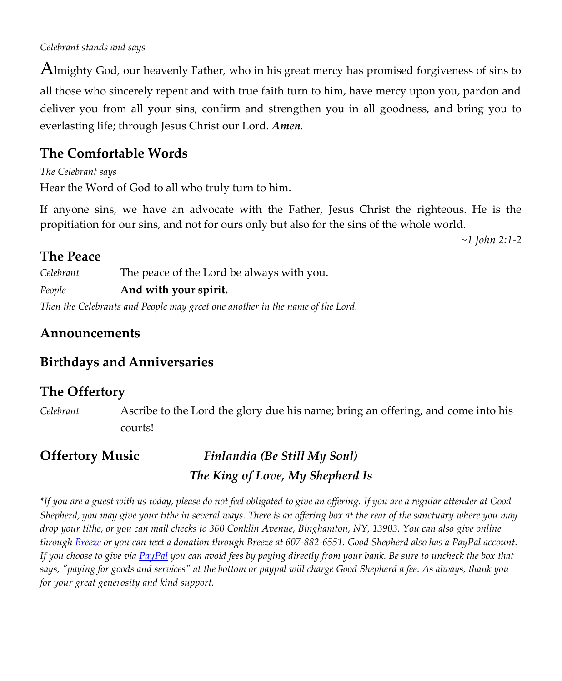#### *Celebrant stands and says*

Almighty God, our heavenly Father, who in his great mercy has promised forgiveness of sins to all those who sincerely repent and with true faith turn to him, have mercy upon you, pardon and deliver you from all your sins, confirm and strengthen you in all goodness, and bring you to everlasting life; through Jesus Christ our Lord. *Amen.*

### **The Comfortable Words**

*The Celebrant says* Hear the Word of God to all who truly turn to him.

If anyone sins, we have an advocate with the Father, Jesus Christ the righteous. He is the propitiation for our sins, and not for ours only but also for the sins of the whole world.

~*1 John 2:1-2*

#### **The Peace**

*Celebrant* The peace of the Lord be always with you. *People* **And with your spirit.** *Then the Celebrants and People may greet one another in the name of the Lord.*

### **Announcements**

## **Birthdays and Anniversaries**

## **The Offertory**

*Celebrant* Ascribe to the Lord the glory due his name; bring an offering, and come into his courts!

# **Offertory Music** *Finlandia (Be Still My Soul) The King of Love, My Shepherd Is*

*\*If you are a guest with us today, please do not feel obligated to give an offering. If you are a regular attender at Good Shepherd, you may give your tithe in several ways. There is an offering box at the rear of the sanctuary where you may drop your tithe, or you can mail checks to 360 Conklin Avenue, Binghamton, NY, 13903. You can also give online throug[h Breeze](https://goodshepherdbinghamton.breezechms.com/give/online) or you can text a donation through Breeze at 607-882-6551. Good Shepherd also has a PayPal account. If you choose to give vi[a PayPal](https://www.paypal.me/GSBinghamton?utm_source=unp&utm_medium=email&utm_campaign=PPC000654&utm_unptid=42acbf38-6ada-11ea-b9a4-b875c0f50354&ppid=PPC000654&cnac=US&rsta=en_US&cust=8MVRVDQC795TS&unptid=42acbf38-6ada-11ea-b9a4-b875c0f50354&calc=69b6c6cb4a105&unp_tpcid=ppme-social-business-profile-created&page=main:email:PPC000654:::&pgrp=main:email&e=cl&mchn=em&s=ci&mail=sys) you can avoid fees by paying directly from your bank. Be sure to uncheck the box that says, "paying for goods and services" at the bottom or paypal will charge Good Shepherd a fee. As always, thank you for your great generosity and kind support.*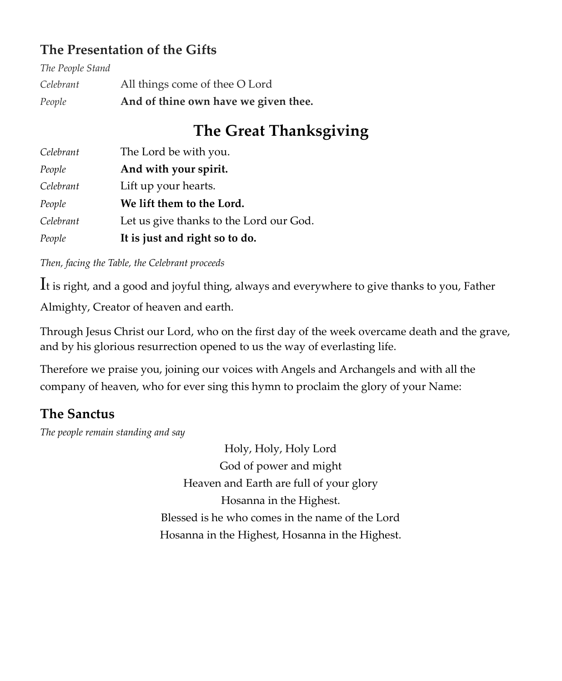# **The Presentation of the Gifts**

| People           | And of thine own have we given thee. |
|------------------|--------------------------------------|
| Celebrant        | All things come of thee O Lord       |
| The People Stand |                                      |

# **The Great Thanksgiving**

| Celebrant | The Lord be with you.                   |
|-----------|-----------------------------------------|
| People    | And with your spirit.                   |
| Celebrant | Lift up your hearts.                    |
| People    | We lift them to the Lord.               |
| Celebrant | Let us give thanks to the Lord our God. |
| People    | It is just and right so to do.          |

#### *Then, facing the Table, the Celebrant proceeds*

It is right, and a good and joyful thing, always and everywhere to give thanks to you, Father Almighty, Creator of heaven and earth.

Through Jesus Christ our Lord, who on the first day of the week overcame death and the grave, and by his glorious resurrection opened to us the way of everlasting life.

Therefore we praise you, joining our voices with Angels and Archangels and with all the company of heaven, who for ever sing this hymn to proclaim the glory of your Name:

## **The Sanctus**

*The people remain standing and say*

Holy, Holy, Holy Lord God of power and might Heaven and Earth are full of your glory Hosanna in the Highest. Blessed is he who comes in the name of the Lord Hosanna in the Highest, Hosanna in the Highest.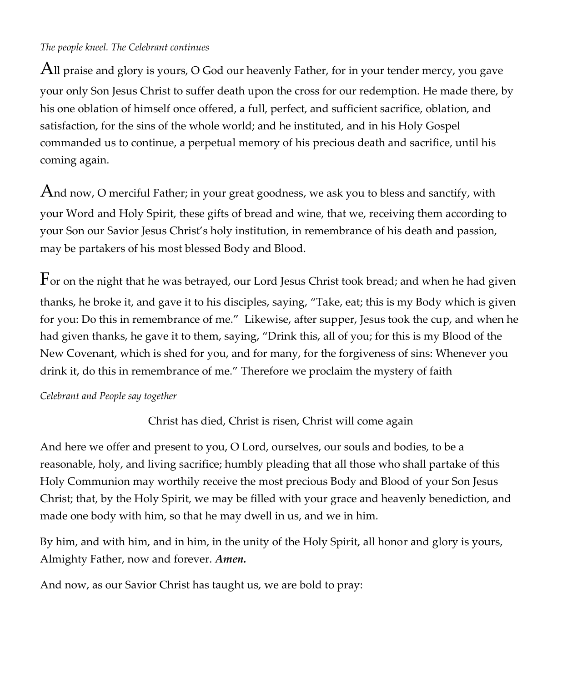#### *The people kneel. The Celebrant continues*

All praise and glory is yours, O God our heavenly Father, for in your tender mercy, you gave your only Son Jesus Christ to suffer death upon the cross for our redemption. He made there, by his one oblation of himself once offered, a full, perfect, and sufficient sacrifice, oblation, and satisfaction, for the sins of the whole world; and he instituted, and in his Holy Gospel commanded us to continue, a perpetual memory of his precious death and sacrifice, until his coming again.

And now, O merciful Father; in your great goodness, we ask you to bless and sanctify, with your Word and Holy Spirit, these gifts of bread and wine, that we, receiving them according to your Son our Savior Jesus Christ's holy institution, in remembrance of his death and passion, may be partakers of his most blessed Body and Blood.

 $F$  or on the night that he was betrayed, our Lord Jesus Christ took bread; and when he had given thanks, he broke it, and gave it to his disciples, saying, "Take, eat; this is my Body which is given for you: Do this in remembrance of me." Likewise, after supper, Jesus took the cup, and when he had given thanks, he gave it to them, saying, "Drink this, all of you; for this is my Blood of the New Covenant, which is shed for you, and for many, for the forgiveness of sins: Whenever you drink it, do this in remembrance of me." Therefore we proclaim the mystery of faith

#### *Celebrant and People say together*

Christ has died, Christ is risen, Christ will come again

And here we offer and present to you, O Lord, ourselves, our souls and bodies, to be a reasonable, holy, and living sacrifice; humbly pleading that all those who shall partake of this Holy Communion may worthily receive the most precious Body and Blood of your Son Jesus Christ; that, by the Holy Spirit, we may be filled with your grace and heavenly benediction, and made one body with him, so that he may dwell in us, and we in him.

By him, and with him, and in him, in the unity of the Holy Spirit, all honor and glory is yours, Almighty Father, now and forever. *Amen.*

And now, as our Savior Christ has taught us, we are bold to pray: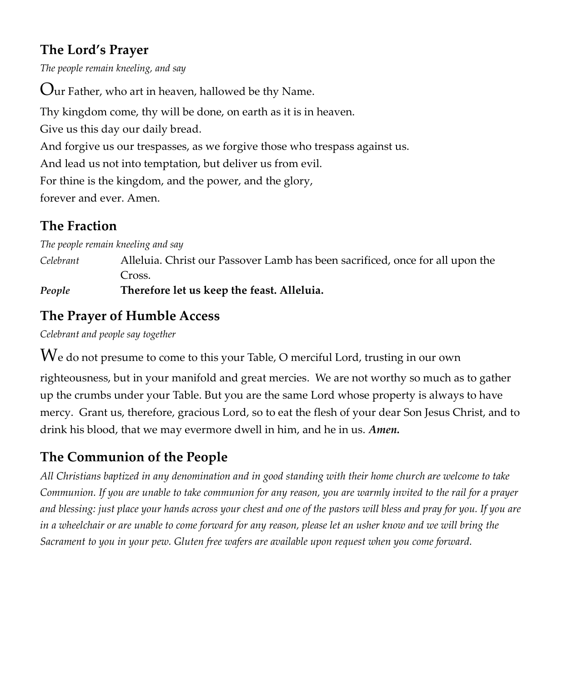# **The Lord's Prayer**

*The people remain kneeling, and say*

Our Father, who art in heaven, hallowed be thy Name. Thy kingdom come, thy will be done, on earth as it is in heaven. Give us this day our daily bread. And forgive us our trespasses, as we forgive those who trespass against us. And lead us not into temptation, but deliver us from evil. For thine is the kingdom, and the power, and the glory, forever and ever. Amen.

# **The Fraction**

*The people remain kneeling and say*

*Celebrant* Alleluia. Christ our Passover Lamb has been sacrificed, once for all upon the Cross.

*People* **Therefore let us keep the feast. Alleluia.**

# **The Prayer of Humble Access**

*Celebrant and people say together*

We do not presume to come to this your Table, O merciful Lord, trusting in our own righteousness, but in your manifold and great mercies. We are not worthy so much as to gather up the crumbs under your Table. But you are the same Lord whose property is always to have mercy. Grant us, therefore, gracious Lord, so to eat the flesh of your dear Son Jesus Christ, and to drink his blood, that we may evermore dwell in him, and he in us. *Amen.*

# **The Communion of the People**

*All Christians baptized in any denomination and in good standing with their home church are welcome to take Communion. If you are unable to take communion for any reason, you are warmly invited to the rail for a prayer and blessing: just place your hands across your chest and one of the pastors will bless and pray for you. If you are in a wheelchair or are unable to come forward for any reason, please let an usher know and we will bring the Sacrament to you in your pew. Gluten free wafers are available upon request when you come forward.*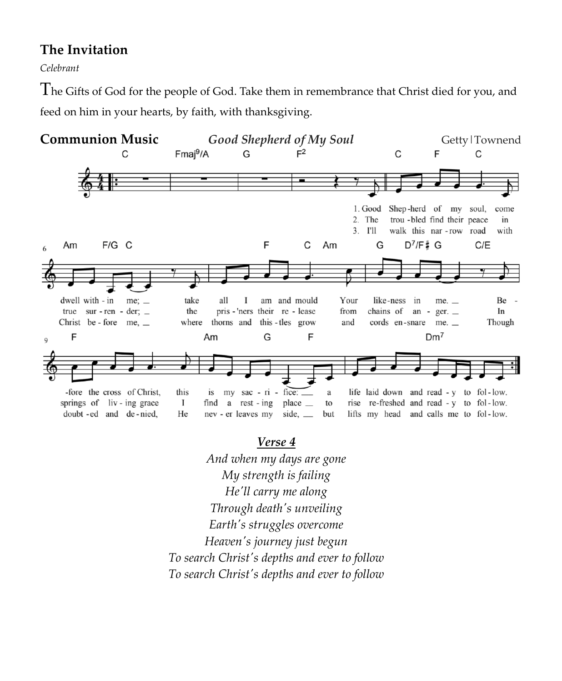# **The Invitation**

*Celebrant*

The Gifts of God for the people of God. Take them in remembrance that Christ died for you, and feed on him in your hearts, by faith, with thanksgiving.



#### *Verse 4*

*And when my days are gone My strength is failing He'll carry me along Through death's unveiling Earth's struggles overcome Heaven's journey just begun To search Christ's depths and ever to follow To search Christ's depths and ever to follow*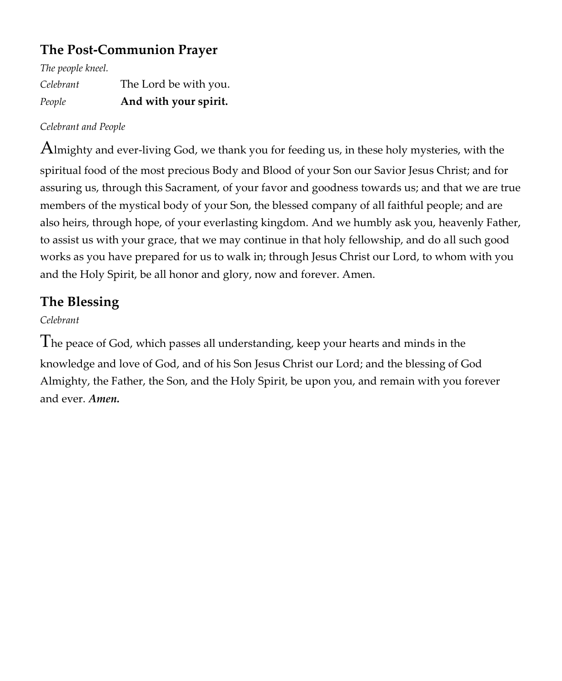# **The Post-Communion Prayer**

*The people kneel.* 

*Celebrant* The Lord be with you. *People* **And with your spirit.**

#### *Celebrant and People*

Almighty and ever-living God, we thank you for feeding us, in these holy mysteries, with the spiritual food of the most precious Body and Blood of your Son our Savior Jesus Christ; and for assuring us, through this Sacrament, of your favor and goodness towards us; and that we are true members of the mystical body of your Son, the blessed company of all faithful people; and are also heirs, through hope, of your everlasting kingdom. And we humbly ask you, heavenly Father, to assist us with your grace, that we may continue in that holy fellowship, and do all such good works as you have prepared for us to walk in; through Jesus Christ our Lord, to whom with you and the Holy Spirit, be all honor and glory, now and forever. Amen.

# **The Blessing**

#### *Celebrant*

The peace of God, which passes all understanding, keep your hearts and minds in the knowledge and love of God, and of his Son Jesus Christ our Lord; and the blessing of God Almighty, the Father, the Son, and the Holy Spirit, be upon you, and remain with you forever and ever. *Amen.*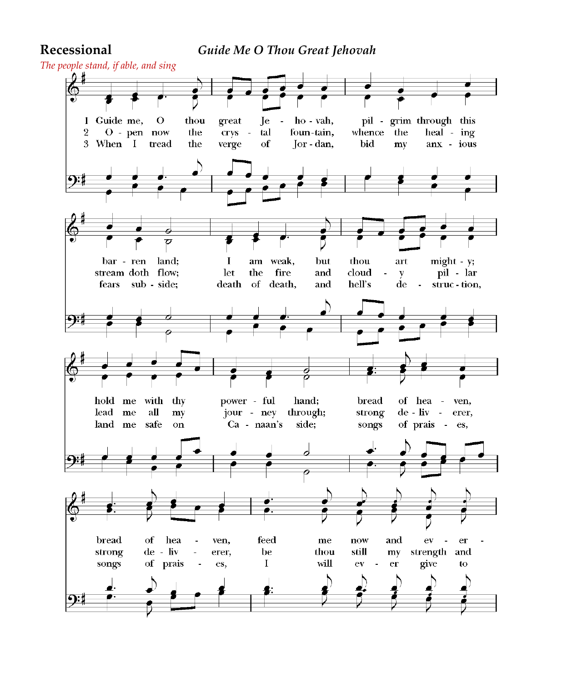**Recessional** *Guide Me O Thou Great Jehovah*

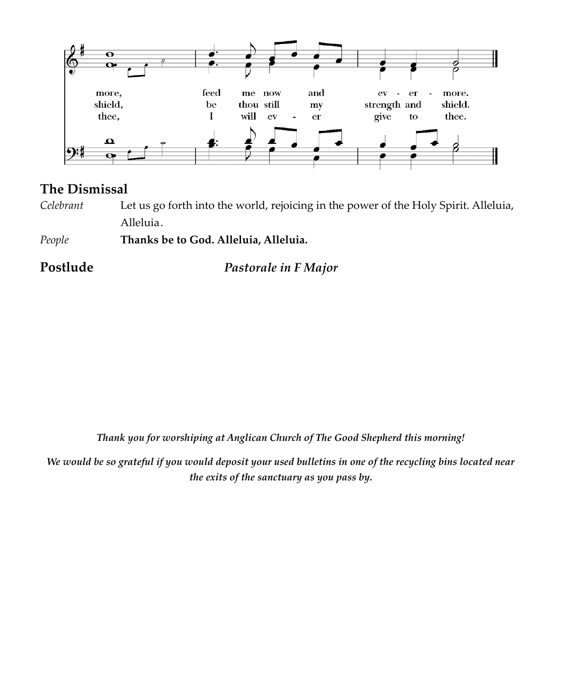

### **The Dismissal**

*Celebrant* Let us go forth into the world, rejoicing in the power of the Holy Spirit. Alleluia, Alleluia.

*People* **Thanks be to God. Alleluia, Alleluia.**

#### **Postlude** *Pastorale in F Major*

*Thank you for worshiping at Anglican Church of The Good Shepherd this morning!*

*We would be so grateful if you would deposit your used bulletins in one of the recycling bins located near the exits of the sanctuary as you pass by.*